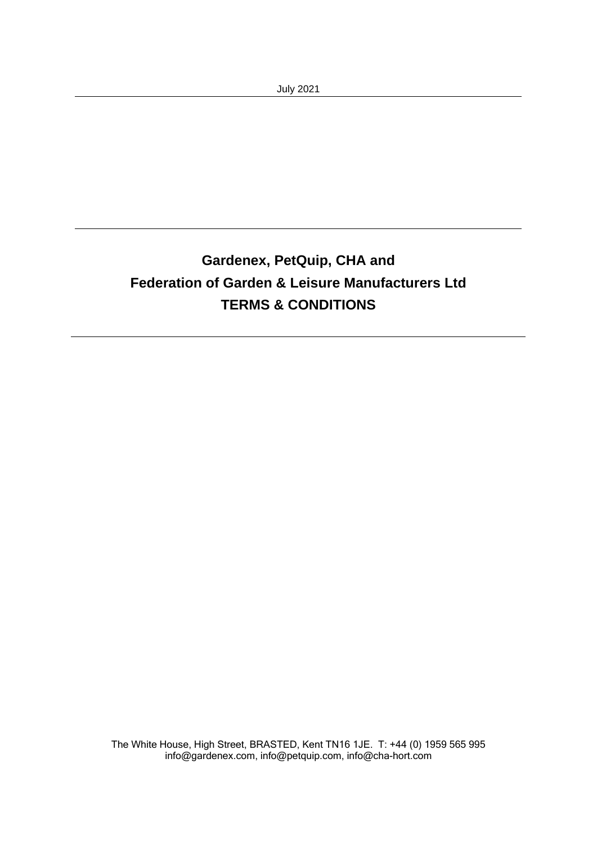# **Gardenex, PetQuip, CHA and Federation of Garden & Leisure Manufacturers Ltd TERMS & CONDITIONS**

The White House, High Street, BRASTED, Kent TN16 1JE. T: +44 (0) 1959 565 995 [info@gardenex.com,](mailto:info@gardenex.com) [info@petquip.com,](mailto:info@petquip.com) [info@cha-hort.com](mailto:info@cha-hort.com)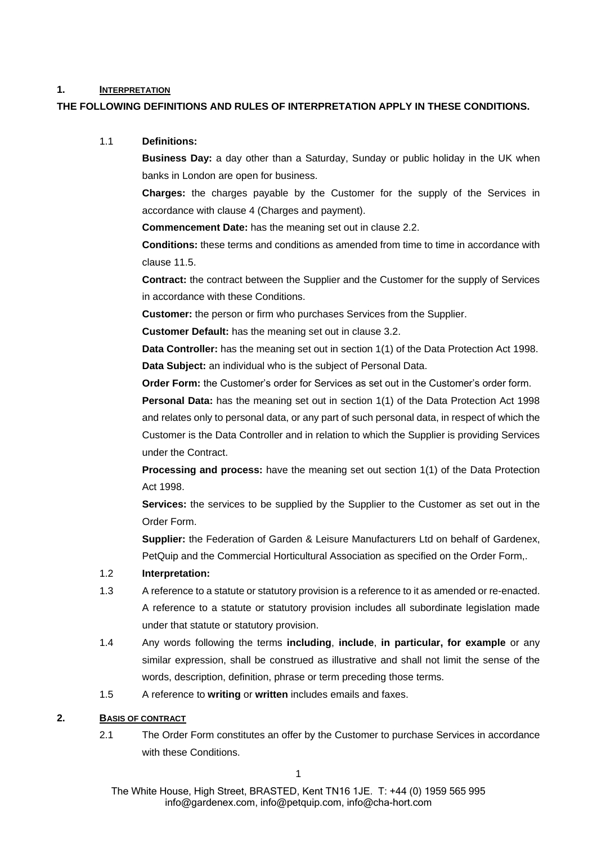### **1. INTERPRETATION**

### **THE FOLLOWING DEFINITIONS AND RULES OF INTERPRETATION APPLY IN THESE CONDITIONS.**

# 1.1 **Definitions:**

**Business Day:** a day other than a Saturday, Sunday or public holiday in the UK when banks in London are open for business.

**Charges:** the charges payable by the Customer for the supply of the Services in accordance with clause [4](#page-3-0) (Charges and payment).

**Commencement Date:** has the meaning set out in clause [2.2.](#page-2-0)

**Conditions:** these terms and conditions as amended from time to time in accordance with clause [11.5.](#page-7-0)

**Contract:** the contract between the Supplier and the Customer for the supply of Services in accordance with these Conditions.

**Customer:** the person or firm who purchases Services from the Supplier.

**Customer Default:** has the meaning set out in clause [3.2.](#page-2-1)

**Data Controller:** has the meaning set out in section 1(1) of the Data Protection Act 1998. **Data Subject:** an individual who is the subject of Personal Data.

**Order Form:** the Customer's order for Services as set out in the Customer's order form.

**Personal Data:** has the meaning set out in section 1(1) of the Data Protection Act 1998 and relates only to personal data, or any part of such personal data, in respect of which the Customer is the Data Controller and in relation to which the Supplier is providing Services under the Contract.

**Processing and process:** have the meaning set out section 1(1) of the Data Protection Act 1998.

**Services:** the services to be supplied by the Supplier to the Customer as set out in the Order Form.

**Supplier:** the Federation of Garden & Leisure Manufacturers Ltd on behalf of Gardenex, PetQuip and the Commercial Horticultural Association as specified on the Order Form,.

### 1.2 **Interpretation:**

- 1.3 A reference to a statute or statutory provision is a reference to it as amended or re-enacted. A reference to a statute or statutory provision includes all subordinate legislation made under that statute or statutory provision.
- 1.4 Any words following the terms **including**, **include**, **in particular, for example** or any similar expression, shall be construed as illustrative and shall not limit the sense of the words, description, definition, phrase or term preceding those terms.
- 1.5 A reference to **writing** or **written** includes emails and faxes.

# **2. BASIS OF CONTRACT**

2.1 The Order Form constitutes an offer by the Customer to purchase Services in accordance with these Conditions.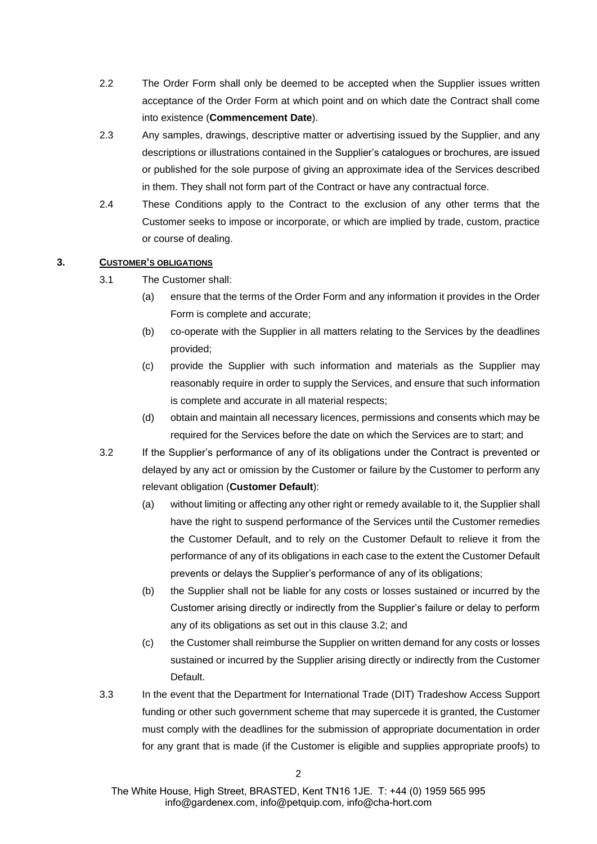- <span id="page-2-0"></span>2.2 The Order Form shall only be deemed to be accepted when the Supplier issues written acceptance of the Order Form at which point and on which date the Contract shall come into existence (**Commencement Date**).
- 2.3 Any samples, drawings, descriptive matter or advertising issued by the Supplier, and any descriptions or illustrations contained in the Supplier's catalogues or brochures, are issued or published for the sole purpose of giving an approximate idea of the Services described in them. They shall not form part of the Contract or have any contractual force.
- 2.4 These Conditions apply to the Contract to the exclusion of any other terms that the Customer seeks to impose or incorporate, or which are implied by trade, custom, practice or course of dealing.

# **3. CUSTOMER'S OBLIGATIONS**

- 3.1 The Customer shall:
	- (a) ensure that the terms of the Order Form and any information it provides in the Order Form is complete and accurate;
	- (b) co-operate with the Supplier in all matters relating to the Services by the deadlines provided;
	- (c) provide the Supplier with such information and materials as the Supplier may reasonably require in order to supply the Services, and ensure that such information is complete and accurate in all material respects;
	- (d) obtain and maintain all necessary licences, permissions and consents which may be required for the Services before the date on which the Services are to start; and
- <span id="page-2-1"></span>3.2 If the Supplier's performance of any of its obligations under the Contract is prevented or delayed by any act or omission by the Customer or failure by the Customer to perform any relevant obligation (**Customer Default**):
	- (a) without limiting or affecting any other right or remedy available to it, the Supplier shall have the right to suspend performance of the Services until the Customer remedies the Customer Default, and to rely on the Customer Default to relieve it from the performance of any of its obligations in each case to the extent the Customer Default prevents or delays the Supplier's performance of any of its obligations;
	- (b) the Supplier shall not be liable for any costs or losses sustained or incurred by the Customer arising directly or indirectly from the Supplier's failure or delay to perform any of its obligations as set out in this clause [3.2;](#page-2-1) and
	- (c) the Customer shall reimburse the Supplier on written demand for any costs or losses sustained or incurred by the Supplier arising directly or indirectly from the Customer Default.
- 3.3 In the event that the Department for International Trade (DIT) Tradeshow Access Support funding or other such government scheme that may supercede it is granted, the Customer must comply with the deadlines for the submission of appropriate documentation in order for any grant that is made (if the Customer is eligible and supplies appropriate proofs) to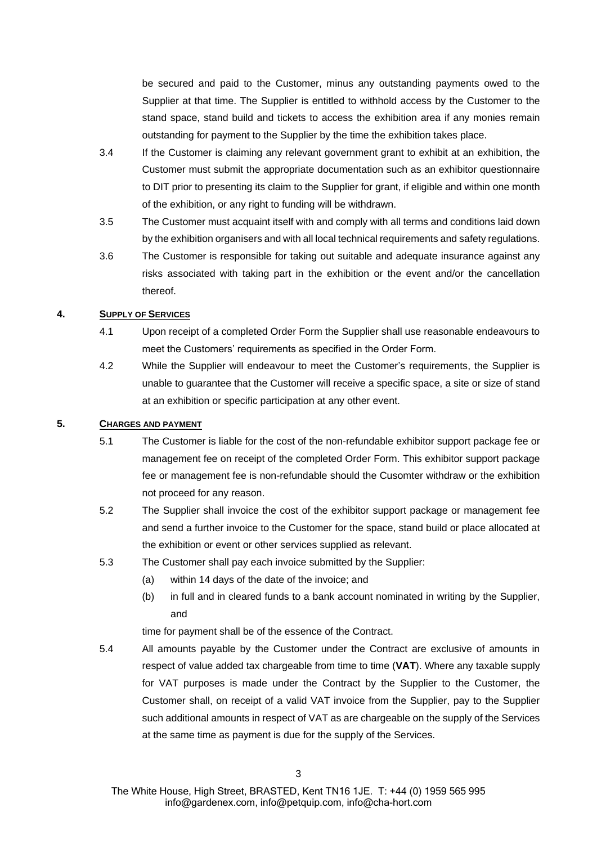be secured and paid to the Customer, minus any outstanding payments owed to the Supplier at that time. The Supplier is entitled to withhold access by the Customer to the stand space, stand build and tickets to access the exhibition area if any monies remain outstanding for payment to the Supplier by the time the exhibition takes place.

- 3.4 If the Customer is claiming any relevant government grant to exhibit at an exhibition, the Customer must submit the appropriate documentation such as an exhibitor questionnaire to DIT prior to presenting its claim to the Supplier for grant, if eligible and within one month of the exhibition, or any right to funding will be withdrawn.
- 3.5 The Customer must acquaint itself with and comply with all terms and conditions laid down by the exhibition organisers and with all local technical requirements and safety regulations.
- 3.6 The Customer is responsible for taking out suitable and adequate insurance against any risks associated with taking part in the exhibition or the event and/or the cancellation thereof.

### <span id="page-3-0"></span>**4. SUPPLY OF SERVICES**

- 4.1 Upon receipt of a completed Order Form the Supplier shall use reasonable endeavours to meet the Customers' requirements as specified in the Order Form.
- 4.2 While the Supplier will endeavour to meet the Customer's requirements, the Supplier is unable to guarantee that the Customer will receive a specific space, a site or size of stand at an exhibition or specific participation at any other event.

# **5. CHARGES AND PAYMENT**

- 5.1 The Customer is liable for the cost of the non-refundable exhibitor support package fee or management fee on receipt of the completed Order Form. This exhibitor support package fee or management fee is non-refundable should the Cusomter withdraw or the exhibition not proceed for any reason.
- 5.2 The Supplier shall invoice the cost of the exhibitor support package or management fee and send a further invoice to the Customer for the space, stand build or place allocated at the exhibition or event or other services supplied as relevant.
- 5.3 The Customer shall pay each invoice submitted by the Supplier:
	- (a) within 14 days of the date of the invoice; and
	- (b) in full and in cleared funds to a bank account nominated in writing by the Supplier, and

time for payment shall be of the essence of the Contract.

5.4 All amounts payable by the Customer under the Contract are exclusive of amounts in respect of value added tax chargeable from time to time (**VAT**). Where any taxable supply for VAT purposes is made under the Contract by the Supplier to the Customer, the Customer shall, on receipt of a valid VAT invoice from the Supplier, pay to the Supplier such additional amounts in respect of VAT as are chargeable on the supply of the Services at the same time as payment is due for the supply of the Services.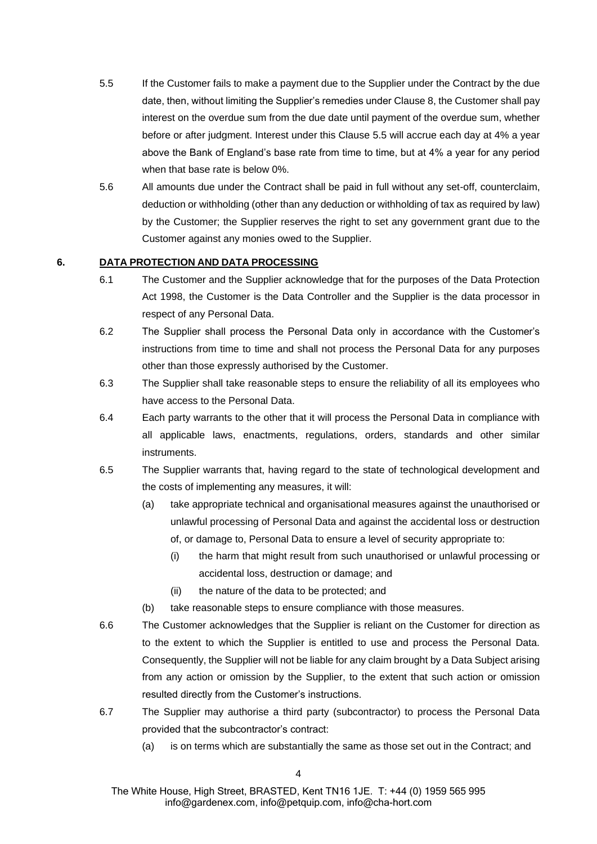- <span id="page-4-0"></span>5.5 If the Customer fails to make a payment due to the Supplier under the Contract by the due date, then, without limiting the Supplier's remedies under Clause [8,](#page-5-0) the Customer shall pay interest on the overdue sum from the due date until payment of the overdue sum, whether before or after judgment. Interest under this Clause [5.5](#page-4-0) will accrue each day at 4% a year above the Bank of England's base rate from time to time, but at 4% a year for any period when that base rate is below 0%.
- 5.6 All amounts due under the Contract shall be paid in full without any set-off, counterclaim, deduction or withholding (other than any deduction or withholding of tax as required by law) by the Customer; the Supplier reserves the right to set any government grant due to the Customer against any monies owed to the Supplier.

# **6. DATA PROTECTION AND DATA PROCESSING**

- 6.1 The Customer and the Supplier acknowledge that for the purposes of the Data Protection Act 1998, the Customer is the Data Controller and the Supplier is the data processor in respect of any Personal Data.
- 6.2 The Supplier shall process the Personal Data only in accordance with the Customer's instructions from time to time and shall not process the Personal Data for any purposes other than those expressly authorised by the Customer.
- 6.3 The Supplier shall take reasonable steps to ensure the reliability of all its employees who have access to the Personal Data.
- 6.4 Each party warrants to the other that it will process the Personal Data in compliance with all applicable laws, enactments, regulations, orders, standards and other similar instruments.
- 6.5 The Supplier warrants that, having regard to the state of technological development and the costs of implementing any measures, it will:
	- (a) take appropriate technical and organisational measures against the unauthorised or unlawful processing of Personal Data and against the accidental loss or destruction of, or damage to, Personal Data to ensure a level of security appropriate to:
		- (i) the harm that might result from such unauthorised or unlawful processing or accidental loss, destruction or damage; and
		- (ii) the nature of the data to be protected; and
	- (b) take reasonable steps to ensure compliance with those measures.
- 6.6 The Customer acknowledges that the Supplier is reliant on the Customer for direction as to the extent to which the Supplier is entitled to use and process the Personal Data. Consequently, the Supplier will not be liable for any claim brought by a Data Subject arising from any action or omission by the Supplier, to the extent that such action or omission resulted directly from the Customer's instructions.
- 6.7 The Supplier may authorise a third party (subcontractor) to process the Personal Data provided that the subcontractor's contract:
	- (a) is on terms which are substantially the same as those set out in the Contract; and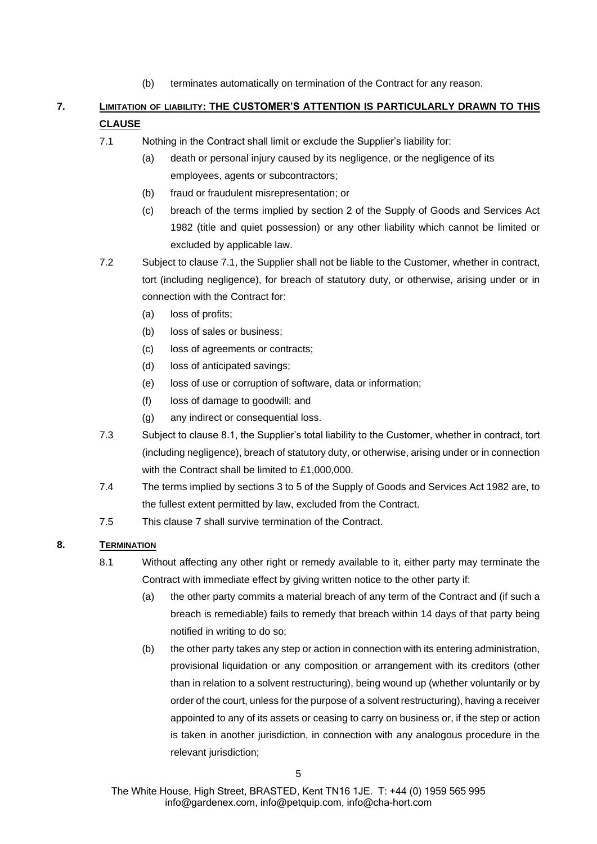(b) terminates automatically on termination of the Contract for any reason.

# <span id="page-5-2"></span><span id="page-5-1"></span>**7. LIMITATION OF LIABILITY: THE CUSTOMER'S ATTENTION IS PARTICULARLY DRAWN TO THIS CLAUSE**

- 7.1 Nothing in the Contract shall limit or exclude the Supplier's liability for:
	- (a) death or personal injury caused by its negligence, or the negligence of its employees, agents or subcontractors;
	- (b) fraud or fraudulent misrepresentation; or
	- (c) breach of the terms implied by section 2 of the Supply of Goods and Services Act 1982 (title and quiet possession) or any other liability which cannot be limited or excluded by applicable law.
- 7.2 Subject to clause [7.1,](#page-5-1) the Supplier shall not be liable to the Customer, whether in contract, tort (including negligence), for breach of statutory duty, or otherwise, arising under or in connection with the Contract for:
	- (a) loss of profits;
	- (b) loss of sales or business;
	- (c) loss of agreements or contracts;
	- (d) loss of anticipated savings;
	- (e) loss of use or corruption of software, data or information;
	- (f) loss of damage to goodwill; and
	- (g) any indirect or consequential loss.
- 7.3 Subject to clause 8.1, the Supplier's total liability to the Customer, whether in contract, tort (including negligence), breach of statutory duty, or otherwise, arising under or in connection with the Contract shall be limited to £1,000,000.
- 7.4 The terms implied by sections 3 to 5 of the Supply of Goods and Services Act 1982 are, to the fullest extent permitted by law, excluded from the Contract.
- 7.5 This clause [7](#page-5-2) shall survive termination of the Contract.

# <span id="page-5-0"></span>**8. TERMINATION**

- <span id="page-5-3"></span>8.1 Without affecting any other right or remedy available to it, either party may terminate the Contract with immediate effect by giving written notice to the other party if:
	- (a) the other party commits a material breach of any term of the Contract and (if such a breach is remediable) fails to remedy that breach within 14 days of that party being notified in writing to do so;
	- (b) the other party takes any step or action in connection with its entering administration, provisional liquidation or any composition or arrangement with its creditors (other than in relation to a solvent restructuring), being wound up (whether voluntarily or by order of the court, unless for the purpose of a solvent restructuring), having a receiver appointed to any of its assets or ceasing to carry on business or, if the step or action is taken in another jurisdiction, in connection with any analogous procedure in the relevant jurisdiction;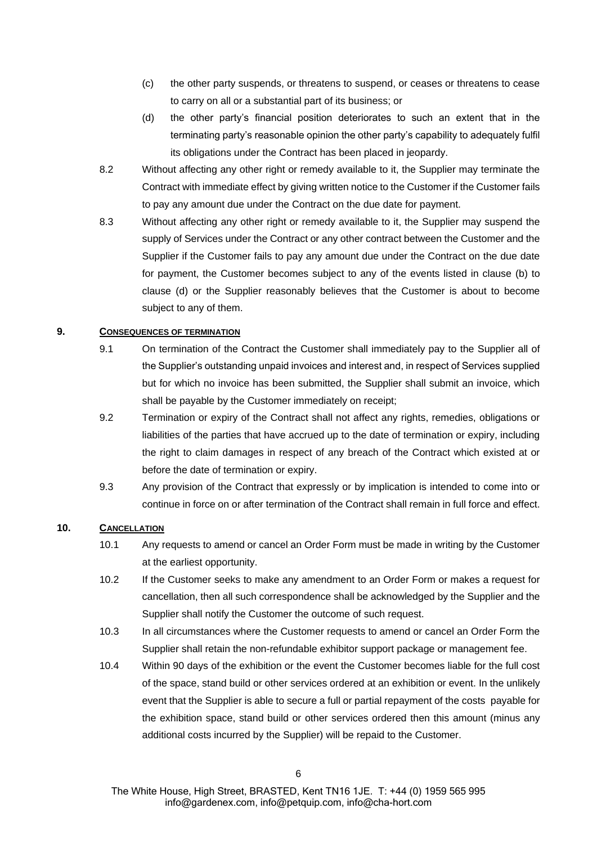- (c) the other party suspends, or threatens to suspend, or ceases or threatens to cease to carry on all or a substantial part of its business; or
- (d) the other party's financial position deteriorates to such an extent that in the terminating party's reasonable opinion the other party's capability to adequately fulfil its obligations under the Contract has been placed in jeopardy.
- <span id="page-6-0"></span>8.2 Without affecting any other right or remedy available to it, the Supplier may terminate the Contract with immediate effect by giving written notice to the Customer if the Customer fails to pay any amount due under the Contract on the due date for payment.
- 8.3 Without affecting any other right or remedy available to it, the Supplier may suspend the supply of Services under the Contract or any other contract between the Customer and the Supplier if the Customer fails to pay any amount due under the Contract on the due date for payment, the Customer becomes subject to any of the events listed in clause [\(b\)](#page-5-3) to clause [\(d\)](#page-6-0) or the Supplier reasonably believes that the Customer is about to become subject to any of them.

# **9. CONSEQUENCES OF TERMINATION**

- 9.1 On termination of the Contract the Customer shall immediately pay to the Supplier all of the Supplier's outstanding unpaid invoices and interest and, in respect of Services supplied but for which no invoice has been submitted, the Supplier shall submit an invoice, which shall be payable by the Customer immediately on receipt;
- 9.2 Termination or expiry of the Contract shall not affect any rights, remedies, obligations or liabilities of the parties that have accrued up to the date of termination or expiry, including the right to claim damages in respect of any breach of the Contract which existed at or before the date of termination or expiry.
- 9.3 Any provision of the Contract that expressly or by implication is intended to come into or continue in force on or after termination of the Contract shall remain in full force and effect.

### **10. CANCELLATION**

- 10.1 Any requests to amend or cancel an Order Form must be made in writing by the Customer at the earliest opportunity.
- 10.2 If the Customer seeks to make any amendment to an Order Form or makes a request for cancellation, then all such correspondence shall be acknowledged by the Supplier and the Supplier shall notify the Customer the outcome of such request.
- 10.3 In all circumstances where the Customer requests to amend or cancel an Order Form the Supplier shall retain the non-refundable exhibitor support package or management fee.
- 10.4 Within 90 days of the exhibition or the event the Customer becomes liable for the full cost of the space, stand build or other services ordered at an exhibition or event. In the unlikely event that the Supplier is able to secure a full or partial repayment of the costs payable for the exhibition space, stand build or other services ordered then this amount (minus any additional costs incurred by the Supplier) will be repaid to the Customer.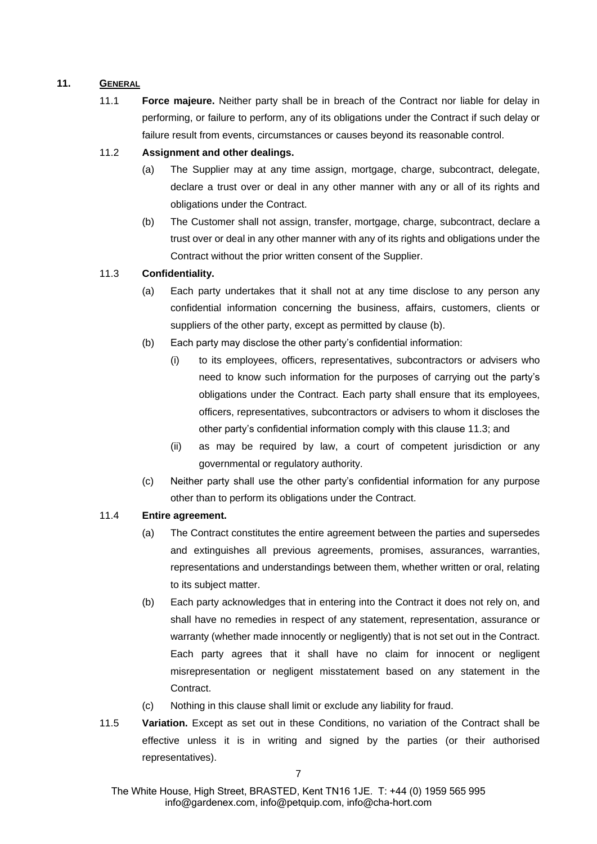# **11. GENERAL**

11.1 **Force majeure.** Neither party shall be in breach of the Contract nor liable for delay in performing, or failure to perform, any of its obligations under the Contract if such delay or failure result from events, circumstances or causes beyond its reasonable control.

# 11.2 **Assignment and other dealings.**

- (a) The Supplier may at any time assign, mortgage, charge, subcontract, delegate, declare a trust over or deal in any other manner with any or all of its rights and obligations under the Contract.
- (b) The Customer shall not assign, transfer, mortgage, charge, subcontract, declare a trust over or deal in any other manner with any of its rights and obligations under the Contract without the prior written consent of the Supplier.

# <span id="page-7-2"></span><span id="page-7-1"></span>11.3 **Confidentiality.**

- (a) Each party undertakes that it shall not at any time disclose to any person any confidential information concerning the business, affairs, customers, clients or suppliers of the other party, except as permitted by clause [\(b\).](#page-7-1)
- (b) Each party may disclose the other party's confidential information:
	- (i) to its employees, officers, representatives, subcontractors or advisers who need to know such information for the purposes of carrying out the party's obligations under the Contract. Each party shall ensure that its employees, officers, representatives, subcontractors or advisers to whom it discloses the other party's confidential information comply with this clause [11.3;](#page-7-2) and
	- (ii) as may be required by law, a court of competent jurisdiction or any governmental or regulatory authority.
- (c) Neither party shall use the other party's confidential information for any purpose other than to perform its obligations under the Contract.

# 11.4 **Entire agreement.**

- (a) The Contract constitutes the entire agreement between the parties and supersedes and extinguishes all previous agreements, promises, assurances, warranties, representations and understandings between them, whether written or oral, relating to its subject matter.
- (b) Each party acknowledges that in entering into the Contract it does not rely on, and shall have no remedies in respect of any statement, representation, assurance or warranty (whether made innocently or negligently) that is not set out in the Contract. Each party agrees that it shall have no claim for innocent or negligent misrepresentation or negligent misstatement based on any statement in the Contract.
- (c) Nothing in this clause shall limit or exclude any liability for fraud.
- <span id="page-7-0"></span>11.5 **Variation.** Except as set out in these Conditions, no variation of the Contract shall be effective unless it is in writing and signed by the parties (or their authorised representatives).

The White House, High Street, BRASTED, Kent TN16 1JE. T: +44 (0) 1959 565 995 [info@gardenex.com,](mailto:info@gardenex.com) [info@petquip.com,](mailto:info@petquip.com) [info@cha-hort.com](mailto:info@cha-hort.com)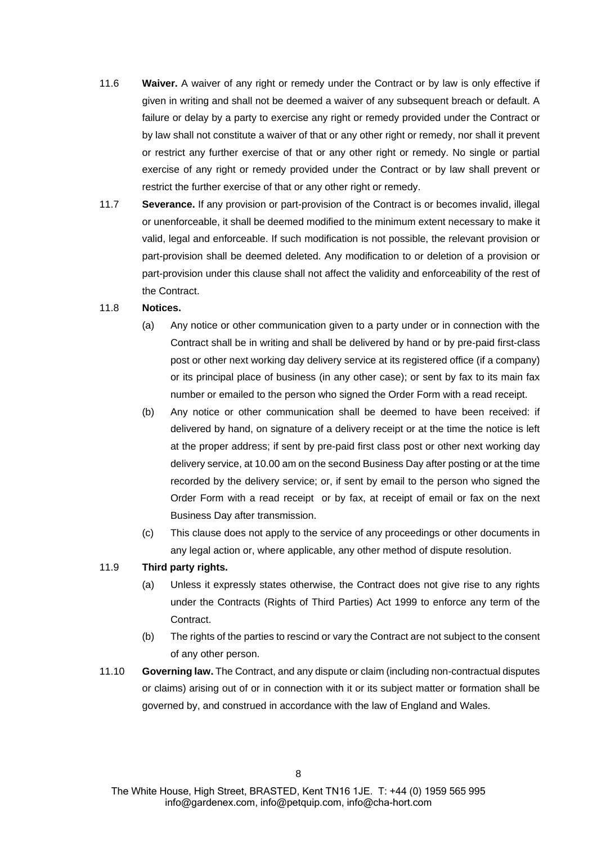- 11.6 **Waiver.** A waiver of any right or remedy under the Contract or by law is only effective if given in writing and shall not be deemed a waiver of any subsequent breach or default. A failure or delay by a party to exercise any right or remedy provided under the Contract or by law shall not constitute a waiver of that or any other right or remedy, nor shall it prevent or restrict any further exercise of that or any other right or remedy. No single or partial exercise of any right or remedy provided under the Contract or by law shall prevent or restrict the further exercise of that or any other right or remedy.
- 11.7 **Severance.** If any provision or part-provision of the Contract is or becomes invalid, illegal or unenforceable, it shall be deemed modified to the minimum extent necessary to make it valid, legal and enforceable. If such modification is not possible, the relevant provision or part-provision shall be deemed deleted. Any modification to or deletion of a provision or part-provision under this clause shall not affect the validity and enforceability of the rest of the Contract.

#### 11.8 **Notices.**

- (a) Any notice or other communication given to a party under or in connection with the Contract shall be in writing and shall be delivered by hand or by pre-paid first-class post or other next working day delivery service at its registered office (if a company) or its principal place of business (in any other case); or sent by fax to its main fax number or emailed to the person who signed the Order Form with a read receipt.
- (b) Any notice or other communication shall be deemed to have been received: if delivered by hand, on signature of a delivery receipt or at the time the notice is left at the proper address; if sent by pre-paid first class post or other next working day delivery service, at 10.00 am on the second Business Day after posting or at the time recorded by the delivery service; or, if sent by email to the person who signed the Order Form with a read receipt or by fax, at receipt of email or fax on the next Business Day after transmission.
- (c) This clause does not apply to the service of any proceedings or other documents in any legal action or, where applicable, any other method of dispute resolution.

# 11.9 **Third party rights.**

- (a) Unless it expressly states otherwise, the Contract does not give rise to any rights under the Contracts (Rights of Third Parties) Act 1999 to enforce any term of the Contract.
- (b) The rights of the parties to rescind or vary the Contract are not subject to the consent of any other person.
- 11.10 **Governing law.** The Contract, and any dispute or claim (including non-contractual disputes or claims) arising out of or in connection with it or its subject matter or formation shall be governed by, and construed in accordance with the law of England and Wales.